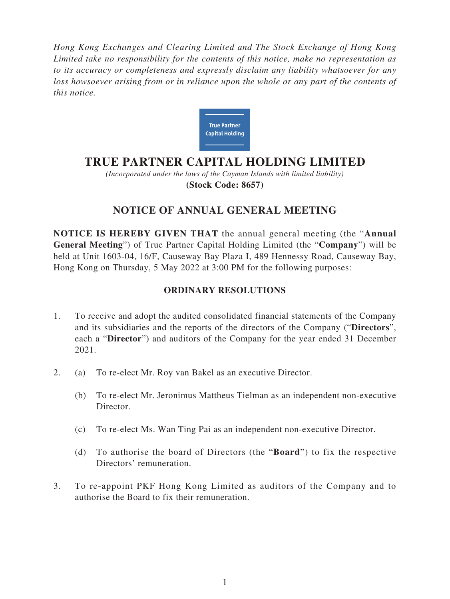*Hong Kong Exchanges and Clearing Limited and The Stock Exchange of Hong Kong Limited take no responsibility for the contents of this notice, make no representation as to its accuracy or completeness and expressly disclaim any liability whatsoever for any loss howsoever arising from or in reliance upon the whole or any part of the contents of this notice.*



# **TRUE PARTNER CAPITAL HOLDING LIMITED**

*(Incorporated under the laws of the Cayman Islands with limited liability)* **(Stock Code: 8657)**

## **NOTICE OF ANNUAL GENERAL MEETING**

**NOTICE IS HEREBY GIVEN THAT** the annual general meeting (the "**Annual General Meeting**") of True Partner Capital Holding Limited (the "**Company**") will be held at Unit 1603-04, 16/F, Causeway Bay Plaza I, 489 Hennessy Road, Causeway Bay, Hong Kong on Thursday, 5 May 2022 at 3:00 PM for the following purposes:

### **ORDINARY RESOLUTIONS**

- 1. To receive and adopt the audited consolidated financial statements of the Company and its subsidiaries and the reports of the directors of the Company ("**Directors**", each a "**Director**") and auditors of the Company for the year ended 31 December 2021.
- 2. (a) To re-elect Mr. Roy van Bakel as an executive Director.
	- (b) To re-elect Mr. Jeronimus Mattheus Tielman as an independent non-executive Director.
	- (c) To re-elect Ms. Wan Ting Pai as an independent non-executive Director.
	- (d) To authorise the board of Directors (the "**Board**") to fix the respective Directors' remuneration.
- 3. To re-appoint PKF Hong Kong Limited as auditors of the Company and to authorise the Board to fix their remuneration.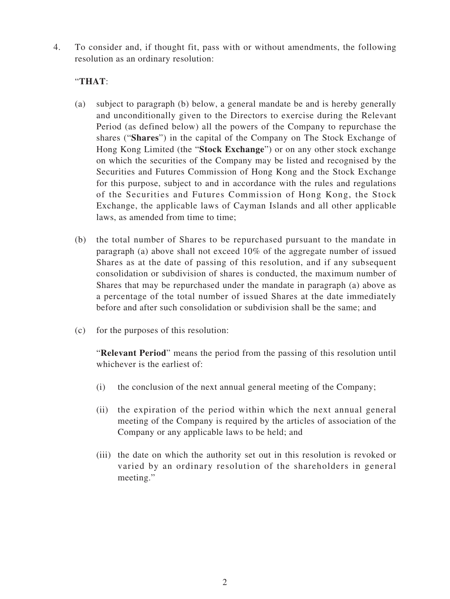4. To consider and, if thought fit, pass with or without amendments, the following resolution as an ordinary resolution:

### "**THAT**:

- (a) subject to paragraph (b) below, a general mandate be and is hereby generally and unconditionally given to the Directors to exercise during the Relevant Period (as defined below) all the powers of the Company to repurchase the shares ("**Shares**") in the capital of the Company on The Stock Exchange of Hong Kong Limited (the "**Stock Exchange**") or on any other stock exchange on which the securities of the Company may be listed and recognised by the Securities and Futures Commission of Hong Kong and the Stock Exchange for this purpose, subject to and in accordance with the rules and regulations of the Securities and Futures Commission of Hong Kong, the Stock Exchange, the applicable laws of Cayman Islands and all other applicable laws, as amended from time to time;
- (b) the total number of Shares to be repurchased pursuant to the mandate in paragraph (a) above shall not exceed 10% of the aggregate number of issued Shares as at the date of passing of this resolution, and if any subsequent consolidation or subdivision of shares is conducted, the maximum number of Shares that may be repurchased under the mandate in paragraph (a) above as a percentage of the total number of issued Shares at the date immediately before and after such consolidation or subdivision shall be the same; and
- (c) for the purposes of this resolution:

"**Relevant Period**" means the period from the passing of this resolution until whichever is the earliest of:

- (i) the conclusion of the next annual general meeting of the Company;
- (ii) the expiration of the period within which the next annual general meeting of the Company is required by the articles of association of the Company or any applicable laws to be held; and
- (iii) the date on which the authority set out in this resolution is revoked or varied by an ordinary resolution of the shareholders in general meeting."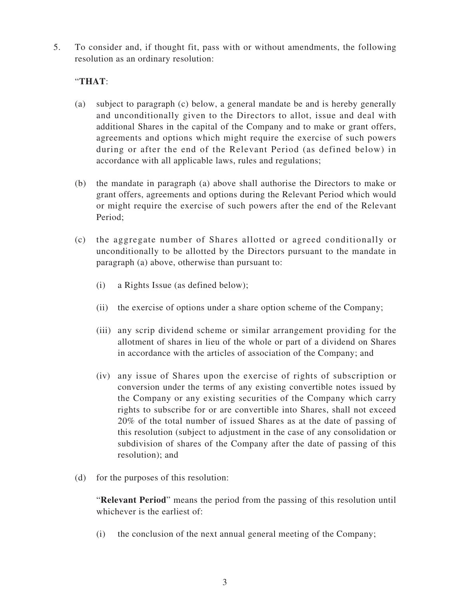5. To consider and, if thought fit, pass with or without amendments, the following resolution as an ordinary resolution:

#### "**THAT**:

- (a) subject to paragraph (c) below, a general mandate be and is hereby generally and unconditionally given to the Directors to allot, issue and deal with additional Shares in the capital of the Company and to make or grant offers, agreements and options which might require the exercise of such powers during or after the end of the Relevant Period (as defined below) in accordance with all applicable laws, rules and regulations;
- (b) the mandate in paragraph (a) above shall authorise the Directors to make or grant offers, agreements and options during the Relevant Period which would or might require the exercise of such powers after the end of the Relevant Period;
- (c) the aggregate number of Shares allotted or agreed conditionally or unconditionally to be allotted by the Directors pursuant to the mandate in paragraph (a) above, otherwise than pursuant to:
	- (i) a Rights Issue (as defined below);
	- (ii) the exercise of options under a share option scheme of the Company;
	- (iii) any scrip dividend scheme or similar arrangement providing for the allotment of shares in lieu of the whole or part of a dividend on Shares in accordance with the articles of association of the Company; and
	- (iv) any issue of Shares upon the exercise of rights of subscription or conversion under the terms of any existing convertible notes issued by the Company or any existing securities of the Company which carry rights to subscribe for or are convertible into Shares, shall not exceed 20% of the total number of issued Shares as at the date of passing of this resolution (subject to adjustment in the case of any consolidation or subdivision of shares of the Company after the date of passing of this resolution); and
- (d) for the purposes of this resolution:

"**Relevant Period**" means the period from the passing of this resolution until whichever is the earliest of:

(i) the conclusion of the next annual general meeting of the Company;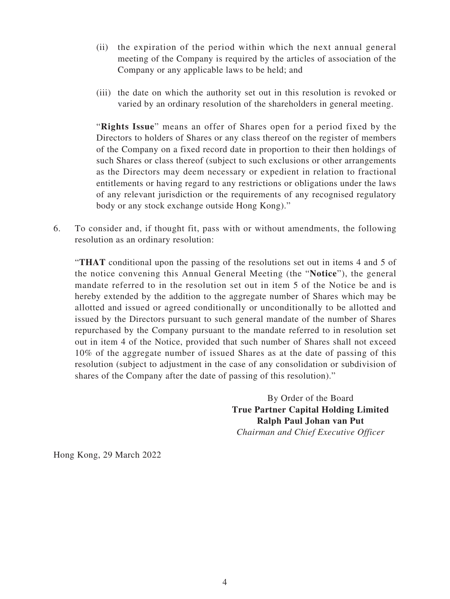- (ii) the expiration of the period within which the next annual general meeting of the Company is required by the articles of association of the Company or any applicable laws to be held; and
- (iii) the date on which the authority set out in this resolution is revoked or varied by an ordinary resolution of the shareholders in general meeting.

"**Rights Issue**" means an offer of Shares open for a period fixed by the Directors to holders of Shares or any class thereof on the register of members of the Company on a fixed record date in proportion to their then holdings of such Shares or class thereof (subject to such exclusions or other arrangements as the Directors may deem necessary or expedient in relation to fractional entitlements or having regard to any restrictions or obligations under the laws of any relevant jurisdiction or the requirements of any recognised regulatory body or any stock exchange outside Hong Kong)."

6. To consider and, if thought fit, pass with or without amendments, the following resolution as an ordinary resolution:

"**THAT** conditional upon the passing of the resolutions set out in items 4 and 5 of the notice convening this Annual General Meeting (the "**Notice**"), the general mandate referred to in the resolution set out in item 5 of the Notice be and is hereby extended by the addition to the aggregate number of Shares which may be allotted and issued or agreed conditionally or unconditionally to be allotted and issued by the Directors pursuant to such general mandate of the number of Shares repurchased by the Company pursuant to the mandate referred to in resolution set out in item 4 of the Notice, provided that such number of Shares shall not exceed 10% of the aggregate number of issued Shares as at the date of passing of this resolution (subject to adjustment in the case of any consolidation or subdivision of shares of the Company after the date of passing of this resolution)."

> By Order of the Board **True Partner Capital Holding Limited Ralph Paul Johan van Put** *Chairman and Chief Executive Officer*

Hong Kong, 29 March 2022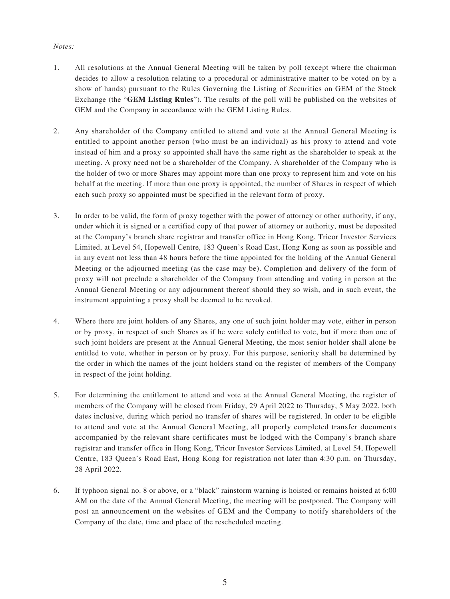#### *Notes:*

- 1. All resolutions at the Annual General Meeting will be taken by poll (except where the chairman decides to allow a resolution relating to a procedural or administrative matter to be voted on by a show of hands) pursuant to the Rules Governing the Listing of Securities on GEM of the Stock Exchange (the "**GEM Listing Rules**"). The results of the poll will be published on the websites of GEM and the Company in accordance with the GEM Listing Rules.
- 2. Any shareholder of the Company entitled to attend and vote at the Annual General Meeting is entitled to appoint another person (who must be an individual) as his proxy to attend and vote instead of him and a proxy so appointed shall have the same right as the shareholder to speak at the meeting. A proxy need not be a shareholder of the Company. A shareholder of the Company who is the holder of two or more Shares may appoint more than one proxy to represent him and vote on his behalf at the meeting. If more than one proxy is appointed, the number of Shares in respect of which each such proxy so appointed must be specified in the relevant form of proxy.
- 3. In order to be valid, the form of proxy together with the power of attorney or other authority, if any, under which it is signed or a certified copy of that power of attorney or authority, must be deposited at the Company's branch share registrar and transfer office in Hong Kong, Tricor Investor Services Limited, at Level 54, Hopewell Centre, 183 Queen's Road East, Hong Kong as soon as possible and in any event not less than 48 hours before the time appointed for the holding of the Annual General Meeting or the adjourned meeting (as the case may be). Completion and delivery of the form of proxy will not preclude a shareholder of the Company from attending and voting in person at the Annual General Meeting or any adjournment thereof should they so wish, and in such event, the instrument appointing a proxy shall be deemed to be revoked.
- 4. Where there are joint holders of any Shares, any one of such joint holder may vote, either in person or by proxy, in respect of such Shares as if he were solely entitled to vote, but if more than one of such joint holders are present at the Annual General Meeting, the most senior holder shall alone be entitled to vote, whether in person or by proxy. For this purpose, seniority shall be determined by the order in which the names of the joint holders stand on the register of members of the Company in respect of the joint holding.
- 5. For determining the entitlement to attend and vote at the Annual General Meeting, the register of members of the Company will be closed from Friday, 29 April 2022 to Thursday, 5 May 2022, both dates inclusive, during which period no transfer of shares will be registered. In order to be eligible to attend and vote at the Annual General Meeting, all properly completed transfer documents accompanied by the relevant share certificates must be lodged with the Company's branch share registrar and transfer office in Hong Kong, Tricor Investor Services Limited, at Level 54, Hopewell Centre, 183 Queen's Road East, Hong Kong for registration not later than 4:30 p.m. on Thursday, 28 April 2022.
- 6. If typhoon signal no. 8 or above, or a "black" rainstorm warning is hoisted or remains hoisted at 6:00 AM on the date of the Annual General Meeting, the meeting will be postponed. The Company will post an announcement on the websites of GEM and the Company to notify shareholders of the Company of the date, time and place of the rescheduled meeting.